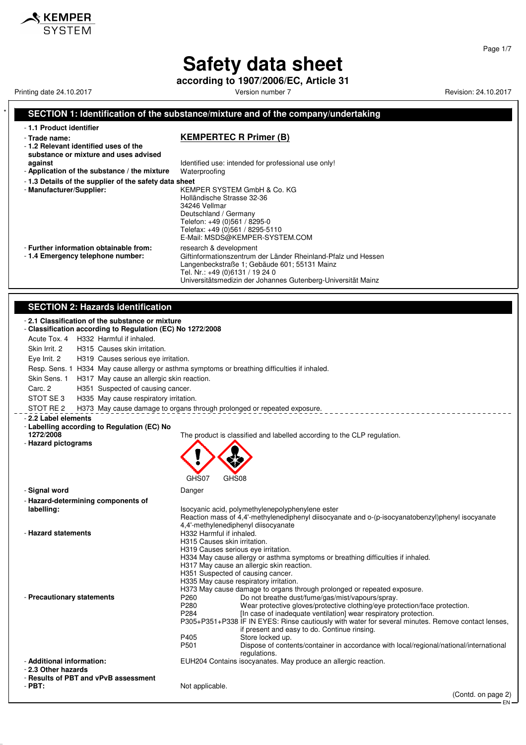**according to 1907/2006/EC, Article 31**

Printing date 24.10.2017 **Printing date 24.10.2017** Version number 7 **Revision: 24.10.2017** Revision: 24.10.2017

 $\boldsymbol{\mathsf{\$} }$  KEMPER

#### **SECTION 1: Identification of the substance/mixture and of the company/undertaking** - **1.1 Product identifier** - **Trade name: KEMPERTEC R Primer (B)** - **1.2 Relevant identified uses of the substance or mixture and uses advised against against Identified use: intended for professional use only!**<br>**Application of the substance / the mixture** Waterproofing - Application of the substance / the mixture - **1.3 Details of the supplier of the safety data sheet** - **Manufacturer/Supplier:** KEMPER SYSTEM GmbH & Co. KG Holländische Strasse 32-36 34246 Vellmar Deutschland / Germany Telefon: +49 (0)561 / 8295-0 Telefax: +49 (0)561 / 8295-5110 E-Mail: MSDS@KEMPER-SYSTEM.COM - **Further information obtainable from:** research & development<br>- 1.4 **Emergency telephone number:** Giftinformationszentrum Giftinformationszentrum der Länder Rheinland-Pfalz und Hessen Langenbeckstraße 1; Gebäude 601; 55131 Mainz Tel. Nr.: +49 (0)6131 / 19 24 0 Universitätsmedizin der Johannes Gutenberg-Universität Mainz **SECTION 2: Hazards identification** - **2.1 Classification of the substance or mixture** - **Classification according to Regulation (EC) No 1272/2008** Acute Tox. 4 H332 Harmful if inhaled. Skin Irrit. 2 H315 Causes skin irritation. Eye Irrit. 2 H319 Causes serious eye irritation. Resp. Sens. 1 H334 May cause allergy or asthma symptoms or breathing difficulties if inhaled. Skin Sens. 1 H317 May cause an allergic skin reaction. Carc. 2 H351 Suspected of causing cancer. STOT SE 3 H335 May cause respiratory irritation. STOT RE 2 H373 May cause damage to organs through prolonged or repeated exposure. - **2.2 Label elements** - **Labelling according to Regulation (EC) No 1272/2008** The product is classified and labelled according to the CLP regulation. - **Hazard pictograms** GHS07 GHS08 - **Signal word** Danger - **Hazard-determining components of labelling:** Isocyanic acid, polymethylenepolyphenylene ester Reaction mass of 4,4'-methylenediphenyl diisocyanate and o-(p-isocyanatobenzyl)phenyl isocyanate 4,4'-methylenediphenyl diisocyanate - **Hazard statements H332 Harmful if inhaled.** H315 Causes skin irritation. H319 Causes serious eye irritation. H334 May cause allergy or asthma symptoms or breathing difficulties if inhaled. H317 May cause an allergic skin reaction. H351 Suspected of causing cancer. H335 May cause respiratory irritation. H373 May cause damage to organs through prolonged or repeated exposure. Precautionary statements<br>P260 Do not breathe dust/fume/gas/mist/vapours/spray.<br>Wear protective dloves/protective clothing/eve pro P280 Wear protective gloves/protective clothing/eye protection/face protection.<br>P284 [In case of inadequate ventilation] wear respiratory protection. [In case of inadequate ventilation] wear respiratory protection. P305+P351+P338 IF IN EYES: Rinse cautiously with water for several minutes. Remove contact lenses, if present and easy to do. Continue rinsing. P<sub>405</sub> Store locked up.<br>P<sub>501</sub> Dispose of contra P501 Dispose of contents/container in accordance with local/regional/national/international regulations. - **Additional information:** EUH204 Contains isocyanates. May produce an allergic reaction. - **2.3 Other hazards** - **Results of PBT and vPvB assessment** Not applicable. (Contd. on page 2)

Page 1/7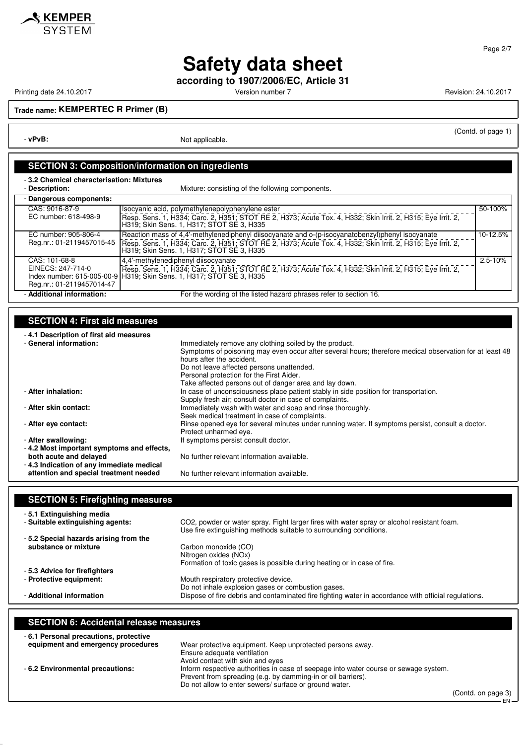

**according to 1907/2006/EC, Article 31**

Printing date 24.10.2017 **Version number 7** Version number 7 Revision: 24.10.2017

**KEMPER**<br>SYSTEM

**Trade name: KEMPERTEC R Primer (B)**

- **vPvB:** Not applicable.

## (Contd. of page 1)

### **SECTION 3: Composition/information on ingredients**

- **3.2 Chemical characterisation: Mixtures**

| <b>Description</b> |
|--------------------|
|--------------------|

Mixture: consisting of the following components.

| - Dangerous components:   |                                                                                                                                                                                                          |             |
|---------------------------|----------------------------------------------------------------------------------------------------------------------------------------------------------------------------------------------------------|-------------|
| CAS: 9016-87-9            | Isocyanic acid, polymethylenepolyphenylene ester                                                                                                                                                         | 50-100%     |
| EC number: 618-498-9      | [Resp. Sens. 1, H334; Carc. 2, H351; STOT RE 2, H373; Acute Tox. 4, H332; Skin Irrit. 2, H315; Eye Irrit. 2,<br>H319; Skin Sens. 1, H317; STOT SE 3, H335                                                |             |
| EC number: 905-806-4      | Reaction mass of 4,4'-methylenediphenyl diisocyanate and o-(p-isocyanatobenzyl)phenyl isocyanate                                                                                                         | $10-12.5%$  |
|                           | Reg.nr.: 01-2119457015-45   Resp. Sens. 1, H334; Carc. 2, H351; STOT RE 2, H373; Acute Tox. 4, H332; Skin Irrit. 2, H315; Eye Irrit. 2,<br>H319; Skin Sens. 1, H317; STOT SE 3, H335                     |             |
| CAS: 101-68-8             | 4,4'-methylenediphenyl diisocyanate                                                                                                                                                                      | $2.5 - 10%$ |
|                           | EINECS: 247-714-0 [Resp. Sens. 1, H334; Carc. 2, H351; STOT RE 2, H373; Acute Tox. 4, H332; Skin Irrit. 2, H315; Eye Irrit. 2, `<br>Index number: 615-005-00-9 H319; Skin Sens. 1, H317; STOT SE 3, H335 |             |
|                           |                                                                                                                                                                                                          |             |
| Reg.nr.: 01-2119457014-47 |                                                                                                                                                                                                          |             |
| - Additional information: | For the wording of the listed hazard phrases refer to section 16.                                                                                                                                        |             |

## **SECTION 4: First aid measures**

| -4.1 Description of first aid measures    |                                                                                                         |
|-------------------------------------------|---------------------------------------------------------------------------------------------------------|
| - General information:                    | Immediately remove any clothing soiled by the product.                                                  |
|                                           | Symptoms of poisoning may even occur after several hours; therefore medical observation for at least 48 |
|                                           | hours after the accident.                                                                               |
|                                           | Do not leave affected persons unattended.                                                               |
|                                           | Personal protection for the First Aider.                                                                |
|                                           | Take affected persons out of danger area and lay down.                                                  |
| - After inhalation:                       | In case of unconsciousness place patient stably in side position for transportation.                    |
|                                           | Supply fresh air; consult doctor in case of complaints.                                                 |
| - After skin contact:                     | Immediately wash with water and soap and rinse thoroughly.                                              |
|                                           | Seek medical treatment in case of complaints.                                                           |
| - After eve contact:                      | Rinse opened eye for several minutes under running water. If symptoms persist, consult a doctor.        |
|                                           | Protect unharmed eye.                                                                                   |
| - After swallowing:                       | If symptoms persist consult doctor.                                                                     |
| -4.2 Most important symptoms and effects, |                                                                                                         |
| both acute and delayed                    | No further relevant information available.                                                              |
| -4.3 Indication of any immediate medical  |                                                                                                         |

**SECTION 5: Firefighting measures** - **5.1 Extinguishing media** - **Suitable extinguishing agents:** CO2, powder or water spray. Fight larger fires with water spray or alcohol resistant foam.

**attention and special treatment needed** No further relevant information available.

| Use fire extinguishing methods suitable to surrounding conditions.                                   |
|------------------------------------------------------------------------------------------------------|
| Carbon monoxide (CO)                                                                                 |
| Nitrogen oxides (NOx)                                                                                |
| Formation of toxic gases is possible during heating or in case of fire.                              |
|                                                                                                      |
| Mouth respiratory protective device.                                                                 |
| Do not inhale explosion gases or combustion gases.                                                   |
| Dispose of fire debris and contaminated fire fighting water in accordance with official regulations. |
|                                                                                                      |

### **SECTION 6: Accidental release measures**

| -6.1 Personal precautions, protective |                                                                                      |
|---------------------------------------|--------------------------------------------------------------------------------------|
| equipment and emergency procedures    | Wear protective equipment. Keep unprotected persons away.                            |
|                                       | Ensure adequate ventilation                                                          |
|                                       | Avoid contact with skin and eyes                                                     |
| - 6.2 Environmental precautions:      | Inform respective authorities in case of seepage into water course or sewage system. |
|                                       | Prevent from spreading (e.g. by damming-in or oil barriers).                         |
|                                       | Do not allow to enter sewers/ surface or ground water.                               |

(Contd. on page 3) EN

Page 2/7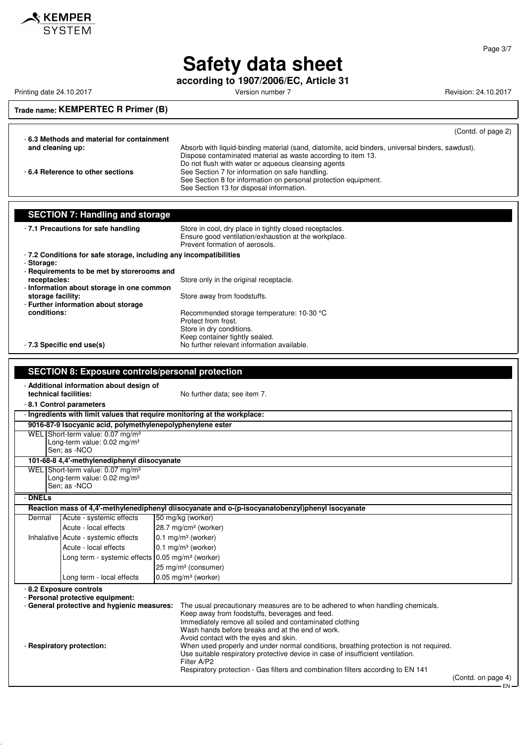

**according to 1907/2006/EC, Article 31**

Printing date 24.10.2017 **Printing date 24.10.2017** Version number 7 Revision: 24.10.2017

### **Trade name: KEMPERTEC R Primer (B)**

(Contd. of page 2)

| - 6.3 Methods and material for containment |                                                                                                  |
|--------------------------------------------|--------------------------------------------------------------------------------------------------|
| and cleaning up:                           | Absorb with liquid-binding material (sand, diatomite, acid binders, universal binders, sawdust). |
|                                            | Dispose contaminated material as waste according to item 13.                                     |
|                                            | Do not flush with water or aqueous cleansing agents                                              |
| - 6.4 Reference to other sections          | See Section 7 for information on safe handling.                                                  |
|                                            | See Section 8 for information on personal protection equipment.                                  |
|                                            | See Section 13 for disposal information.                                                         |

| <b>SECTION 7: Handling and storage</b>                                                    |                                                                   |                                                                                                                                                   |  |
|-------------------------------------------------------------------------------------------|-------------------------------------------------------------------|---------------------------------------------------------------------------------------------------------------------------------------------------|--|
|                                                                                           | - 7.1 Precautions for safe handling                               | Store in cool, dry place in tightly closed receptacles.<br>Ensure good ventilation/exhaustion at the workplace.<br>Prevent formation of aerosols. |  |
|                                                                                           | -7.2 Conditions for safe storage, including any incompatibilities |                                                                                                                                                   |  |
| - Storage:                                                                                |                                                                   |                                                                                                                                                   |  |
| receptacles:                                                                              | - Requirements to be met by storerooms and                        |                                                                                                                                                   |  |
|                                                                                           | - Information about storage in one common                         | Store only in the original receptacle.                                                                                                            |  |
| storage facility:                                                                         |                                                                   | Store away from foodstuffs.                                                                                                                       |  |
|                                                                                           | - Further information about storage                               |                                                                                                                                                   |  |
| conditions:                                                                               |                                                                   | Recommended storage temperature: 10-30 °C                                                                                                         |  |
|                                                                                           |                                                                   | Protect from frost.                                                                                                                               |  |
|                                                                                           |                                                                   | Store in dry conditions.<br>Keep container tightly sealed.                                                                                        |  |
|                                                                                           | - 7.3 Specific end use(s)                                         | No further relevant information available.                                                                                                        |  |
|                                                                                           |                                                                   |                                                                                                                                                   |  |
|                                                                                           |                                                                   |                                                                                                                                                   |  |
|                                                                                           | <b>SECTION 8: Exposure controls/personal protection</b>           |                                                                                                                                                   |  |
|                                                                                           | - Additional information about design of                          |                                                                                                                                                   |  |
| technical facilities:                                                                     |                                                                   | No further data; see item 7.                                                                                                                      |  |
|                                                                                           | -8.1 Control parameters                                           |                                                                                                                                                   |  |
|                                                                                           |                                                                   | - Ingredients with limit values that reguire monitoring at the workplace:                                                                         |  |
|                                                                                           | 9016-87-9 Isocyanic acid, polymethylenepolyphenylene ester        |                                                                                                                                                   |  |
| WEL Short-term value: 0.07 mg/m <sup>3</sup><br>Long-term value: $0.02$ mg/m <sup>3</sup> |                                                                   |                                                                                                                                                   |  |
| Sen: as -NCO                                                                              |                                                                   |                                                                                                                                                   |  |
| 101-68-8 4,4'-methylenediphenyl diisocyanate                                              |                                                                   |                                                                                                                                                   |  |
| WEL Short-term value: 0.07 mg/m <sup>3</sup>                                              |                                                                   |                                                                                                                                                   |  |
|                                                                                           | Long-term value: 0.02 mg/m <sup>3</sup>                           |                                                                                                                                                   |  |
| Sen: as -NCO                                                                              |                                                                   |                                                                                                                                                   |  |
| - DNELs                                                                                   |                                                                   |                                                                                                                                                   |  |
|                                                                                           |                                                                   | Reaction mass of 4,4'-methylenediphenyl diisocyanate and o-(p-isocyanatobenzyl)phenyl isocyanate                                                  |  |
| Dermal                                                                                    | Acute - systemic effects                                          | 50 mg/kg (worker)                                                                                                                                 |  |
|                                                                                           | Acute - local effects                                             | 28.7 mg/cm <sup>2</sup> (worker)                                                                                                                  |  |
|                                                                                           | Inhalative Acute - systemic effects                               | $0.1$ mg/m <sup>3</sup> (worker)                                                                                                                  |  |
|                                                                                           | Acute - local effects                                             | $0.1$ mg/m <sup>3</sup> (worker)                                                                                                                  |  |
|                                                                                           | Long term - systemic effects 0.05 mg/m <sup>3</sup> (worker)      |                                                                                                                                                   |  |
|                                                                                           |                                                                   | 25 mg/m <sup>3</sup> (consumer)                                                                                                                   |  |
|                                                                                           | Long term - local effects                                         | $0.05$ mg/m <sup>3</sup> (worker)                                                                                                                 |  |
|                                                                                           | - 8.2 Exposure controls                                           |                                                                                                                                                   |  |
|                                                                                           | - Personal protective equipment:                                  |                                                                                                                                                   |  |
|                                                                                           | - General protective and hygienic measures:                       | The usual precautionary measures are to be adhered to when handling chemicals.                                                                    |  |
|                                                                                           |                                                                   | Keep away from foodstuffs, beverages and feed.<br>Immediately remove all soiled and contaminated clothing                                         |  |
|                                                                                           |                                                                   | Wash hands before breaks and at the end of work.                                                                                                  |  |
|                                                                                           |                                                                   | Avoid contact with the eyes and skin.                                                                                                             |  |

- **Respiratory protection:** When used properly and under normal conditions, breathing protection is not required.

Use suitable respiratory protective device in case of insufficient ventilation. Filter A/P2

Respiratory protection - Gas filters and combination filters according to EN 141

(Contd. on page 4) EN

Page 3/7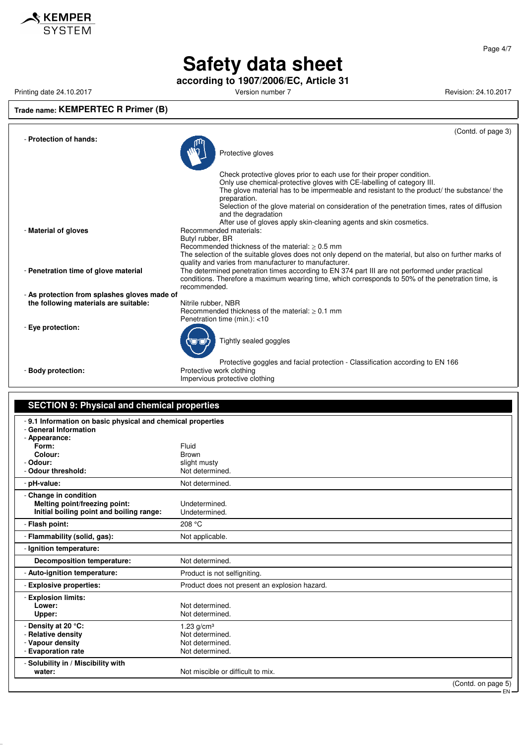

**according to 1907/2006/EC, Article 31**

Printing date 24.10.2017 **Printing date 24.10.2017** Version number 7 Revision: 24.10.2017

## **Trade name: KEMPERTEC R Primer (B)**

|                                              | (Contd. of page 3)                                                                                                                                                                                                                                                                                                                                                                   |
|----------------------------------------------|--------------------------------------------------------------------------------------------------------------------------------------------------------------------------------------------------------------------------------------------------------------------------------------------------------------------------------------------------------------------------------------|
| - Protection of hands:                       | Protective gloves                                                                                                                                                                                                                                                                                                                                                                    |
|                                              | Check protective gloves prior to each use for their proper condition.<br>Only use chemical-protective gloves with CE-labelling of category III.<br>The glove material has to be impermeable and resistant to the product/ the substance/ the<br>preparation.<br>Selection of the glove material on consideration of the penetration times, rates of diffusion<br>and the degradation |
| - Material of gloves                         | After use of gloves apply skin-cleaning agents and skin cosmetics.<br>Recommended materials:<br>Butyl rubber, BR<br>Recommended thickness of the material: $> 0.5$ mm<br>The selection of the suitable gloves does not only depend on the material, but also on further marks of                                                                                                     |
| - Penetration time of glove material         | quality and varies from manufacturer to manufacturer.<br>The determined penetration times according to EN 374 part III are not performed under practical<br>conditions. Therefore a maximum wearing time, which corresponds to 50% of the penetration time, is<br>recommended.                                                                                                       |
| - As protection from splashes gloves made of |                                                                                                                                                                                                                                                                                                                                                                                      |
| the following materials are suitable:        | Nitrile rubber, NBR<br>Recommended thickness of the material: $> 0.1$ mm<br>Penetration time (min.): <10                                                                                                                                                                                                                                                                             |
| - Eye protection:                            | Tightly sealed goggles                                                                                                                                                                                                                                                                                                                                                               |
| - Body protection:                           | Protective goggles and facial protection - Classification according to EN 166<br>Protective work clothing<br>Impervious protective clothing                                                                                                                                                                                                                                          |

#### **SECTION 9: Physical and chemical properties** - **9.1 Information on basic physical and chemical properties** - **General Information** - **Appearance:** Form: Fluid<br>**Colour:** Expansion of the Brown **Colour:**<br>Depare: - **Odour:** slight musty

| - Odour threshold:                                                                                 | יטשוונ ווועטני<br>Not determined.                                     |
|----------------------------------------------------------------------------------------------------|-----------------------------------------------------------------------|
| - pH-value:                                                                                        | Not determined.                                                       |
| - Change in condition<br>Melting point/freezing point:<br>Initial boiling point and boiling range: | Undetermined.<br>Undetermined.                                        |
| - Flash point:                                                                                     | 208 °C                                                                |
| - Flammability (solid, gas):                                                                       | Not applicable.                                                       |
| - Ignition temperature:                                                                            |                                                                       |
| <b>Decomposition temperature:</b>                                                                  | Not determined.                                                       |
| - Auto-ignition temperature:                                                                       | Product is not selfigniting.                                          |
| - Explosive properties:                                                                            | Product does not present an explosion hazard.                         |
| - Explosion limits:<br>Lower:<br>Upper:                                                            | Not determined.<br>Not determined.                                    |
| - Density at 20 °C:<br>- Relative density<br>- Vapour density<br>- Evaporation rate                | 1.23 $g/cm3$<br>Not determined.<br>Not determined.<br>Not determined. |
| - Solubility in / Miscibility with<br>water:                                                       | Not miscible or difficult to mix.<br>(Control on name 5)              |

Page 4/7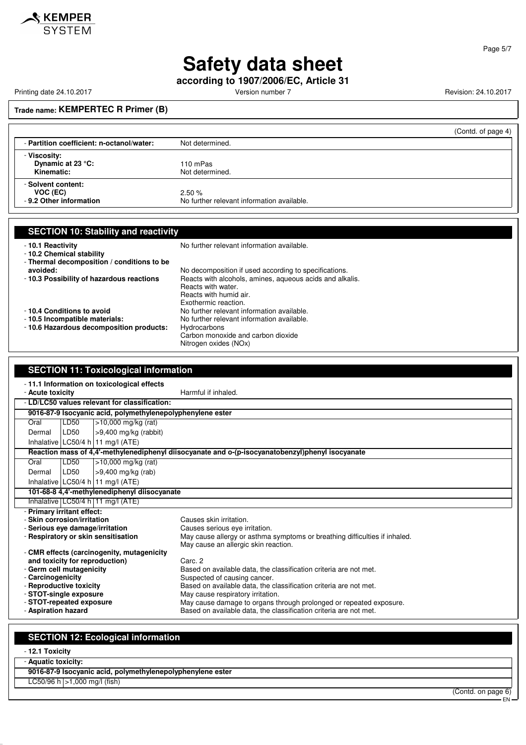

### Page 5/7

EN

# **Safety data sheet**

**according to 1907/2006/EC, Article 31**

Printing date 24.10.2017 **Printing date 24.10.2017** Version number 7 Revision: 24.10.2017

**Trade name: KEMPERTEC R Primer (B)**

|                                                           | (Contd. of page 4)                                  |
|-----------------------------------------------------------|-----------------------------------------------------|
| - Partition coefficient: n-octanol/water:                 | Not determined.                                     |
| - Viscosity:<br>Dynamic at 23 °C:<br>Kinematic:           | 110 mPas<br>Not determined.                         |
| - Solvent content:<br>VOC (EC)<br>- 9.2 Other information | 2.50%<br>No further relevant information available. |

| <b>SECTION 10: Stability and reactivity</b>                                                |                                                                                                                                  |
|--------------------------------------------------------------------------------------------|----------------------------------------------------------------------------------------------------------------------------------|
| -10.1 Reactivity<br>-10.2 Chemical stability<br>- Thermal decomposition / conditions to be | No further relevant information available.                                                                                       |
| avoided:                                                                                   | No decomposition if used according to specifications.                                                                            |
| - 10.3 Possibility of hazardous reactions                                                  | Reacts with alcohols, amines, aqueous acids and alkalis.<br>Reacts with water.<br>Reacts with humid air.<br>Exothermic reaction. |
| -10.4 Conditions to avoid                                                                  | No further relevant information available.                                                                                       |
| -10.5 Incompatible materials:                                                              | No further relevant information available.                                                                                       |
| - 10.6 Hazardous decomposition products:                                                   | Hydrocarbons<br>Carbon monoxide and carbon dioxide<br>Nitrogen oxides (NOx)                                                      |

| <b>SECTION 11: Toxicological information</b>                                          |                                                                                                  |  |
|---------------------------------------------------------------------------------------|--------------------------------------------------------------------------------------------------|--|
| -11.1 Information on toxicological effects<br>Harmful if inhaled.<br>- Acute toxicity |                                                                                                  |  |
| - LD/LC50 values relevant for classification:                                         |                                                                                                  |  |
| 9016-87-9 Isocyanic acid, polymethylenepolyphenylene ester                            |                                                                                                  |  |
| LD50<br>$>10,000$ mg/kg (rat)<br>Oral                                                 |                                                                                                  |  |
| LD50<br>$>9,400$ mg/kg (rabbit)<br>Dermal                                             |                                                                                                  |  |
| Inhalative $LC50/4$ h 11 mg/l (ATE)                                                   |                                                                                                  |  |
|                                                                                       | Reaction mass of 4,4'-methylenediphenyl diisocyanate and o-(p-isocyanatobenzyl)phenyl isocyanate |  |
| LD50<br>$>10,000$ mg/kg (rat)<br>Oral                                                 |                                                                                                  |  |
| LD50<br>>9,400 mg/kg (rab)<br>Dermal                                                  |                                                                                                  |  |
| Inhalative LC50/4 h   11 mg/l $(ATE)$                                                 |                                                                                                  |  |
| 101-68-8 4,4'-methylenediphenyl diisocyanate                                          |                                                                                                  |  |
| Inhalative LC50/4 h 11 mg/l (ATE)                                                     |                                                                                                  |  |
| - Primary irritant effect:                                                            |                                                                                                  |  |
| - Skin corrosion/irritation                                                           | Causes skin irritation.                                                                          |  |
| - Serious eye damage/irritation                                                       | Causes serious eve irritation.                                                                   |  |
| - Respiratory or skin sensitisation                                                   | May cause allergy or asthma symptoms or breathing difficulties if inhaled.                       |  |
| - CMR effects (carcinogenity, mutagenicity                                            | May cause an allergic skin reaction.                                                             |  |
| and toxicity for reproduction)                                                        | Carc. 2                                                                                          |  |
| - Germ cell mutagenicity                                                              | Based on available data, the classification criteria are not met.                                |  |
| - Carcinogenicity                                                                     | Suspected of causing cancer.                                                                     |  |
| - Reproductive toxicity                                                               | Based on available data, the classification criteria are not met.                                |  |
| - STOT-single exposure                                                                | May cause respiratory irritation.                                                                |  |
| - STOT-repeated exposure                                                              | May cause damage to organs through prolonged or repeated exposure.                               |  |
| - Aspiration hazard                                                                   | Based on available data, the classification criteria are not met.                                |  |

# **SECTION 12: Ecological information**

- **12.1 Toxicity**

| - Aquatic toxicity: |                                                            |                    |
|---------------------|------------------------------------------------------------|--------------------|
|                     | 9016-87-9 Isocyanic acid, polymethylenepolyphenylene ester |                    |
|                     | $LC50/96 h > 1,000 mg/l$ (fish)                            |                    |
|                     |                                                            | (Contd. on page 6) |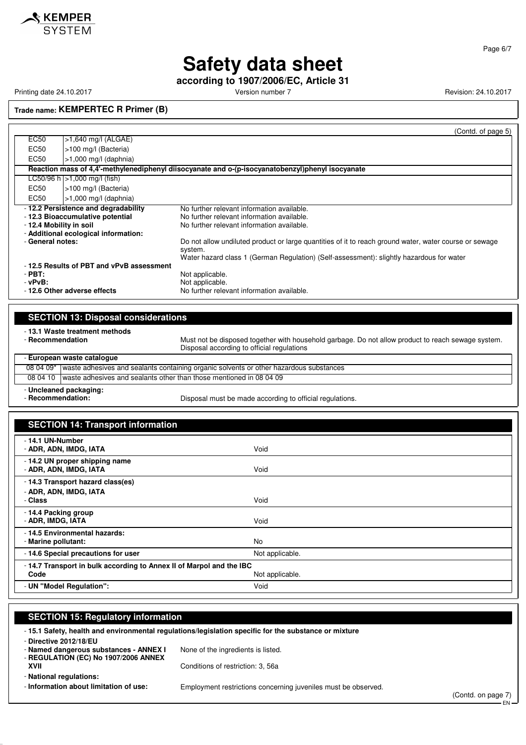

Printing date 24.10.2017 **Version number 7** Version number 7 Revision: 24.10.2017

KEMPER

**according to 1907/2006/EC, Article 31**

Page 6/7

**Trade name: KEMPERTEC R Primer (B)**

|                                             |                                                                                                                 | (Contd. of page 5)                                                                                                                                                                                                                                                                                                                                      |  |  |  |  |
|---------------------------------------------|-----------------------------------------------------------------------------------------------------------------|---------------------------------------------------------------------------------------------------------------------------------------------------------------------------------------------------------------------------------------------------------------------------------------------------------------------------------------------------------|--|--|--|--|
| EC50                                        | >1,640 mg/l (ALGAE)                                                                                             |                                                                                                                                                                                                                                                                                                                                                         |  |  |  |  |
| EC50                                        | >100 mg/l (Bacteria)                                                                                            |                                                                                                                                                                                                                                                                                                                                                         |  |  |  |  |
| EC <sub>50</sub>                            | $>1,000$ mg/l (daphnia)                                                                                         |                                                                                                                                                                                                                                                                                                                                                         |  |  |  |  |
|                                             | Reaction mass of 4,4'-methylenediphenyl diisocyanate and o-(p-isocyanatobenzyl)phenyl isocyanate                |                                                                                                                                                                                                                                                                                                                                                         |  |  |  |  |
|                                             | LC50/96 h   > 1,000 mg/l (fish)                                                                                 |                                                                                                                                                                                                                                                                                                                                                         |  |  |  |  |
| EC50                                        | >100 mg/l (Bacteria)                                                                                            |                                                                                                                                                                                                                                                                                                                                                         |  |  |  |  |
| EC50                                        | $>1,000$ mg/l (daphnia)                                                                                         |                                                                                                                                                                                                                                                                                                                                                         |  |  |  |  |
| - 12.4 Mobility in soil<br>- General notes: | -12.2 Persistence and degradability<br>- 12.3 Bioaccumulative potential<br>- Additional ecological information: | No further relevant information available.<br>No further relevant information available.<br>No further relevant information available.<br>Do not allow undiluted product or large quantities of it to reach ground water, water course or sewage<br>system.<br>Water hazard class 1 (German Regulation) (Self-assessment): slightly hazardous for water |  |  |  |  |
| $-$ PBT:<br>$-vPvB$ :                       | -12.5 Results of PBT and vPvB assessment<br>-12.6 Other adverse effects                                         | Not applicable.<br>Not applicable.<br>No further relevant information available.                                                                                                                                                                                                                                                                        |  |  |  |  |

| <b>SECTION 13: Disposal considerations</b>         |                                                                                        |                                                                                                                                                  |  |  |
|----------------------------------------------------|----------------------------------------------------------------------------------------|--------------------------------------------------------------------------------------------------------------------------------------------------|--|--|
| - 13.1 Waste treatment methods<br>- Recommendation |                                                                                        | Must not be disposed together with household garbage. Do not allow product to reach sewage system.<br>Disposal according to official regulations |  |  |
| - European waste cataloque                         |                                                                                        |                                                                                                                                                  |  |  |
| 08 04 09*                                          | waste adhesives and sealants containing organic solvents or other hazardous substances |                                                                                                                                                  |  |  |
| 08 04 10                                           | waste adhesives and sealants other than those mentioned in 08 04 09                    |                                                                                                                                                  |  |  |
| - Uncleaned nackaging:                             |                                                                                        |                                                                                                                                                  |  |  |

- **Uncleaned packaging:**

Disposal must be made according to official regulations.

| <b>SECTION 14: Transport information</b>                            |                 |  |  |
|---------------------------------------------------------------------|-----------------|--|--|
| - 14.1 UN-Number<br>- ADR, ADN, IMDG, IATA                          | Void            |  |  |
| - 14.2 UN proper shipping name<br>- ADR, ADN, IMDG, IATA            | Void            |  |  |
| - 14.3 Transport hazard class(es)                                   |                 |  |  |
| - ADR, ADN, IMDG, IATA<br>- Class                                   | Void            |  |  |
| - 14.4 Packing group<br>- ADR, IMDG, IATA                           | Void            |  |  |
| - 14.5 Environmental hazards:<br>- Marine pollutant:                | <b>No</b>       |  |  |
| -14.6 Special precautions for user                                  | Not applicable. |  |  |
| -14.7 Transport in bulk according to Annex II of Marpol and the IBC |                 |  |  |
| Code                                                                | Not applicable. |  |  |
| - UN "Model Regulation":                                            | Void            |  |  |

### **SECTION 15: Regulatory information**

- **15.1 Safety, health and environmental regulations/legislation specific for the substance or mixture**

- **Directive 2012/18/EU**

- **Named dangerous substances - ANNEX I** None of the ingredients is listed.

- **REGULATION (EC) No 1907/2006 ANNEX XVII** Conditions of restriction: 3, 56a

- **National regulations:**

- **Information about limitation of use:** Employment restrictions concerning juveniles must be observed.